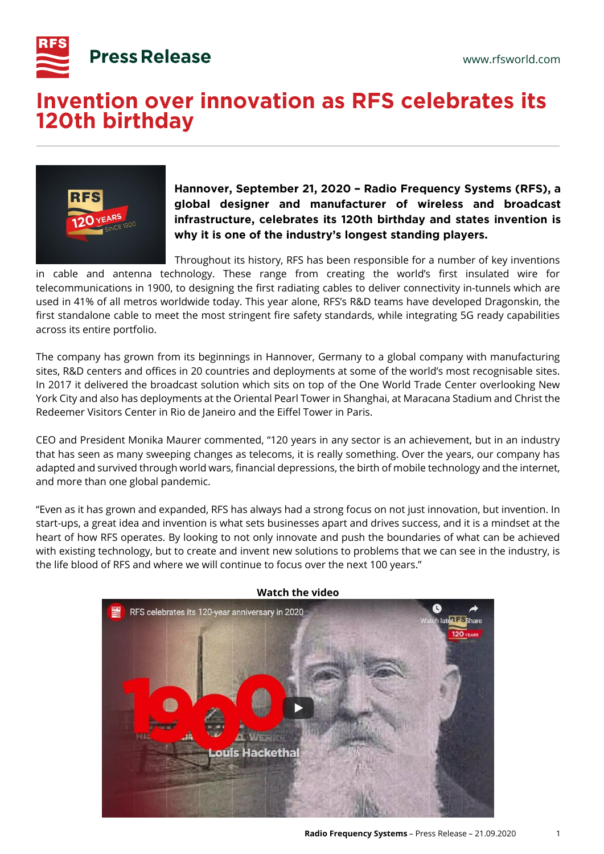

## **Invention over innovation as RFS celebrates its** 120th birthday



Hannover, September 21, 2020 - Radio Frequency Systems (RFS), a global designer and manufacturer of wireless and broadcast infrastructure, celebrates its 120th birthday and states invention is why it is one of the industry's longest standing players.

Throughout its history, RFS has been responsible for a number of key inventions

in cable and antenna technology. These range from creating the world's first insulated wire for telecommunications in 1900, to designing the first radiating cables to deliver connectivity in-tunnels which are used in 41% of all metros worldwide today. This year alone, RFS's R&D teams have developed Dragonskin, the first standalone cable to meet the most stringent fire safety standards, while integrating 5G ready capabilities across its entire portfolio.

The company has grown from its beginnings in Hannover, Germany to a global company with manufacturing sites, R&D centers and offices in 20 countries and deployments at some of the world's most recognisable sites. In 2017 it delivered the broadcast solution which sits on top of the One World Trade Center overlooking New York City and also has deployments at the Oriental Pearl Tower in Shanghai, at Maracana Stadium and Christ the Redeemer Visitors Center in Rio de Janeiro and the Eiffel Tower in Paris.

CEO and President Monika Maurer commented, "120 years in any sector is an achievement, but in an industry that has seen as many sweeping changes as telecoms, it is really something. Over the years, our company has adapted and survived through world wars, financial depressions, the birth of mobile technology and the internet, and more than one global pandemic.

"Even as it has grown and expanded, RFS has always had a strong focus on not just innovation, but invention. In start-ups, a great idea and invention is what sets businesses apart and drives success, and it is a mindset at the heart of how RFS operates. By looking to not only innovate and push the boundaries of what can be achieved with existing technology, but to create and invent new solutions to problems that we can see in the industry, is the life blood of RFS and where we will continue to focus over the next 100 years."



## **Watch the video**